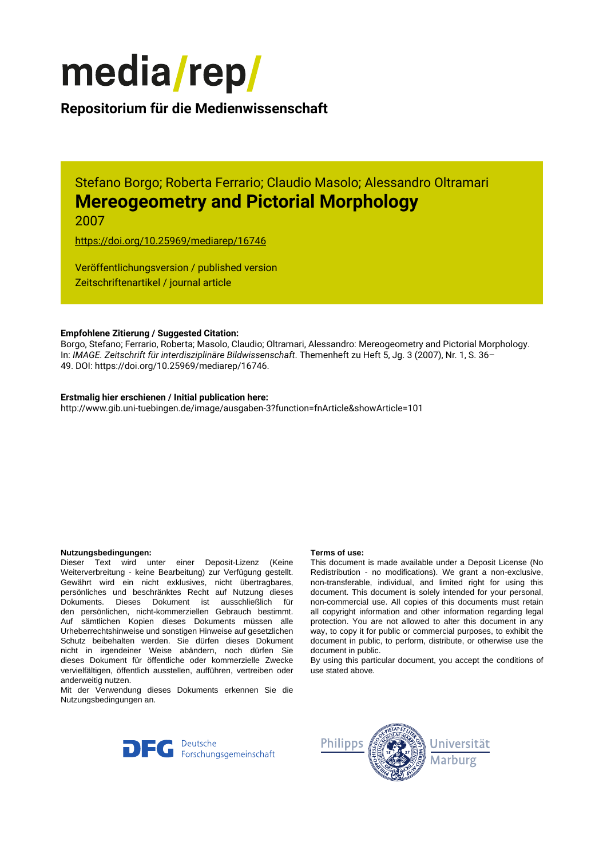

## **Repositorium für die [Medienwissenschaft](https://mediarep.org)**

Stefano Borgo; Roberta Ferrario; Claudio Masolo; Alessandro Oltramari **Mereogeometry and Pictorial Morphology** 2007

<https://doi.org/10.25969/mediarep/16746>

Veröffentlichungsversion / published version Zeitschriftenartikel / journal article

#### **Empfohlene Zitierung / Suggested Citation:**

Borgo, Stefano; Ferrario, Roberta; Masolo, Claudio; Oltramari, Alessandro: Mereogeometry and Pictorial Morphology. In: *IMAGE. Zeitschrift für interdisziplinäre Bildwissenschaft*. Themenheft zu Heft 5, Jg. 3 (2007), Nr. 1, S. 36– 49. DOI: https://doi.org/10.25969/mediarep/16746.

#### **Erstmalig hier erschienen / Initial publication here:**

http://www.gib.uni-tuebingen.de/image/ausgaben-3?function=fnArticle&showArticle=101

#### **Nutzungsbedingungen: Terms of use:**

Dieser Text wird unter einer Deposit-Lizenz (Keine Weiterverbreitung - keine Bearbeitung) zur Verfügung gestellt. Gewährt wird ein nicht exklusives, nicht übertragbares, persönliches und beschränktes Recht auf Nutzung dieses Dokuments. Dieses Dokument ist ausschließlich für den persönlichen, nicht-kommerziellen Gebrauch bestimmt. Auf sämtlichen Kopien dieses Dokuments müssen alle Urheberrechtshinweise und sonstigen Hinweise auf gesetzlichen Schutz beibehalten werden. Sie dürfen dieses Dokument nicht in irgendeiner Weise abändern, noch dürfen Sie dieses Dokument für öffentliche oder kommerzielle Zwecke vervielfältigen, öffentlich ausstellen, aufführen, vertreiben oder anderweitig nutzen.

Mit der Verwendung dieses Dokuments erkennen Sie die Nutzungsbedingungen an.

This document is made available under a Deposit License (No Redistribution - no modifications). We grant a non-exclusive, non-transferable, individual, and limited right for using this document. This document is solely intended for your personal, non-commercial use. All copies of this documents must retain all copyright information and other information regarding legal protection. You are not allowed to alter this document in any way, to copy it for public or commercial purposes, to exhibit the document in public, to perform, distribute, or otherwise use the document in public.

By using this particular document, you accept the conditions of use stated above.



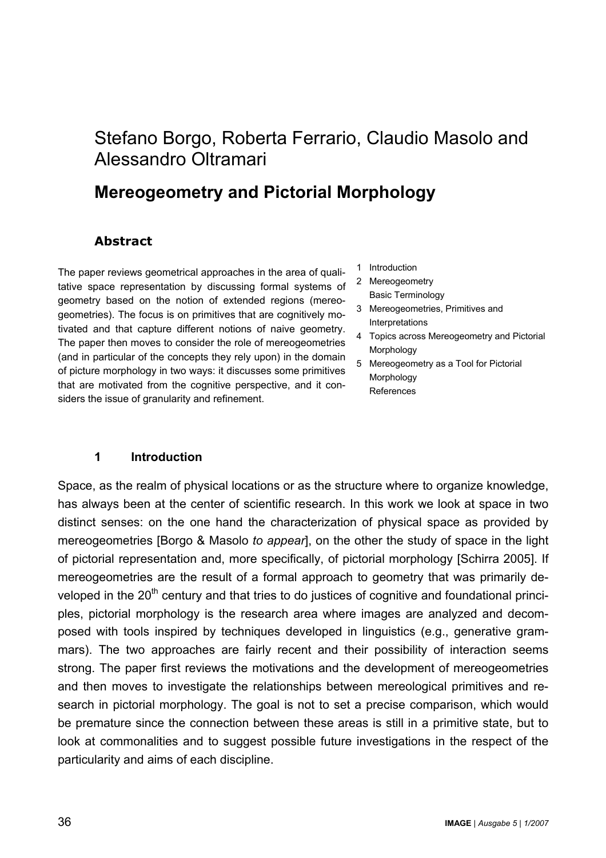# Stefano Borgo, Roberta Ferrario, Claudio Masolo and Alessandro Oltramari

# **Mereogeometry and Pictorial Morphology**

#### **Abstract**

The paper reviews geometrical approaches in the area of qualitative space representation by discussing formal systems of geometry based on the notion of extended regions (mereogeometries). The focus is on primitives that are cognitively motivated and that capture different notions of naive geometry. The paper then moves to consider the role of mereogeometries (and in particular of the concepts they rely upon) in the domain of picture morphology in two ways: it discusses some primitives that are motivated from the cognitive perspective, and it considers the issue of granularity and refinement.

- 1 Introduction
- 2 Mereogeometry Basic Terminology
- 3 Mereogeometries, Primitives and **Interpretations**
- 4 Topics across Mereogeometry and Pictorial Morphology
- 5 Mereogeometry as a Tool for Pictorial Morphology References

#### **1 Introduction**

Space, as the realm of physical locations or as the structure where to organize knowledge, has always been at the center of scientific research. In this work we look at space in two distinct senses: on the one hand the characterization of physical space as provided by mereogeometries [Borgo & Masolo *to appear*], on the other the study of space in the light of pictorial representation and, more specifically, of pictorial morphology [Schirra 2005]. If mereogeometries are the result of a formal approach to geometry that was primarily developed in the 20<sup>th</sup> century and that tries to do justices of cognitive and foundational principles, pictorial morphology is the research area where images are analyzed and decomposed with tools inspired by techniques developed in linguistics (e.g., generative grammars). The two approaches are fairly recent and their possibility of interaction seems strong. The paper first reviews the motivations and the development of mereogeometries and then moves to investigate the relationships between mereological primitives and research in pictorial morphology. The goal is not to set a precise comparison, which would be premature since the connection between these areas is still in a primitive state, but to look at commonalities and to suggest possible future investigations in the respect of the particularity and aims of each discipline.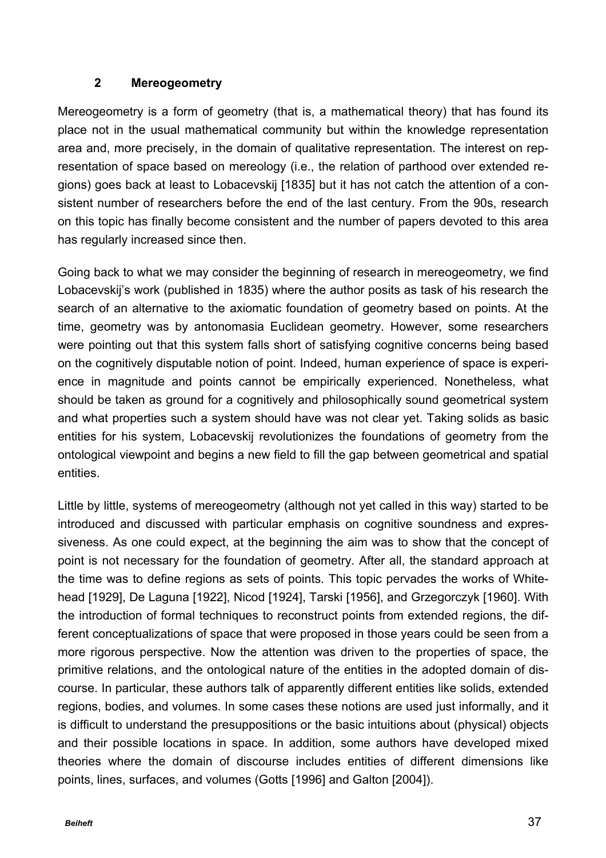#### **2 Mereogeometry**

Mereogeometry is a form of geometry (that is, a mathematical theory) that has found its place not in the usual mathematical community but within the knowledge representation area and, more precisely, in the domain of qualitative representation. The interest on representation of space based on mereology (i.e., the relation of parthood over extended regions) goes back at least to Lobacevskij [1835] but it has not catch the attention of a consistent number of researchers before the end of the last century. From the 90s, research on this topic has finally become consistent and the number of papers devoted to this area has regularly increased since then.

Going back to what we may consider the beginning of research in mereogeometry, we find Lobacevskij's work (published in 1835) where the author posits as task of his research the search of an alternative to the axiomatic foundation of geometry based on points. At the time, geometry was by antonomasia Euclidean geometry. However, some researchers were pointing out that this system falls short of satisfying cognitive concerns being based on the cognitively disputable notion of point. Indeed, human experience of space is experience in magnitude and points cannot be empirically experienced. Nonetheless, what should be taken as ground for a cognitively and philosophically sound geometrical system and what properties such a system should have was not clear yet. Taking solids as basic entities for his system, Lobacevskij revolutionizes the foundations of geometry from the ontological viewpoint and begins a new field to fill the gap between geometrical and spatial entities.

Little by little, systems of mereogeometry (although not yet called in this way) started to be introduced and discussed with particular emphasis on cognitive soundness and expressiveness. As one could expect, at the beginning the aim was to show that the concept of point is not necessary for the foundation of geometry. After all, the standard approach at the time was to define regions as sets of points. This topic pervades the works of Whitehead [1929], De Laguna [1922], Nicod [1924], Tarski [1956], and Grzegorczyk [1960]. With the introduction of formal techniques to reconstruct points from extended regions, the different conceptualizations of space that were proposed in those years could be seen from a more rigorous perspective. Now the attention was driven to the properties of space, the primitive relations, and the ontological nature of the entities in the adopted domain of discourse. In particular, these authors talk of apparently different entities like solids, extended regions, bodies, and volumes. In some cases these notions are used just informally, and it is difficult to understand the presuppositions or the basic intuitions about (physical) objects and their possible locations in space. In addition, some authors have developed mixed theories where the domain of discourse includes entities of different dimensions like points, lines, surfaces, and volumes (Gotts [1996] and Galton [2004]).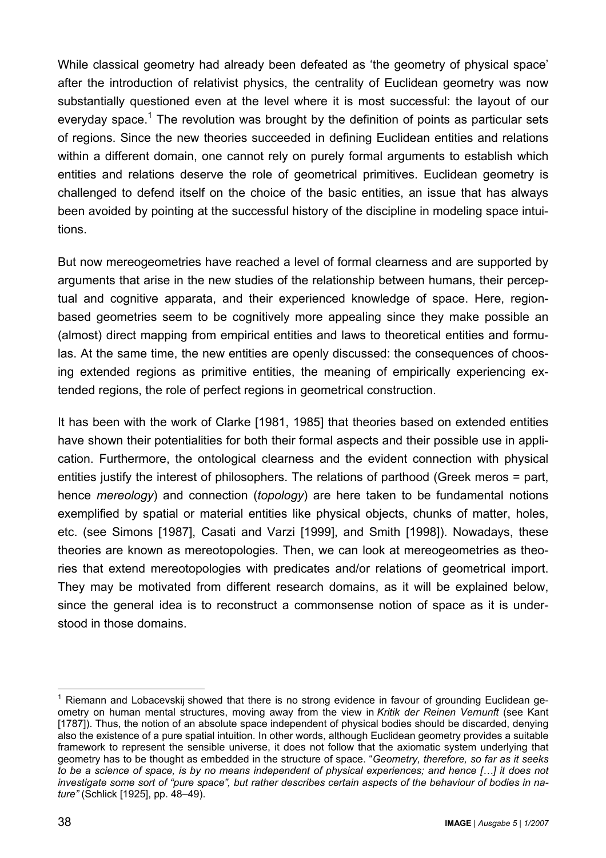While classical geometry had already been defeated as 'the geometry of physical space' after the introduction of relativist physics, the centrality of Euclidean geometry was now substantially questioned even at the level where it is most successful: the layout of our everyday space.<sup>1</sup> The revolution was brought by the definition of points as particular sets of regions. Since the new theories succeeded in defining Euclidean entities and relations within a different domain, one cannot rely on purely formal arguments to establish which entities and relations deserve the role of geometrical primitives. Euclidean geometry is challenged to defend itself on the choice of the basic entities, an issue that has always been avoided by pointing at the successful history of the discipline in modeling space intuitions.

But now mereogeometries have reached a level of formal clearness and are supported by arguments that arise in the new studies of the relationship between humans, their perceptual and cognitive apparata, and their experienced knowledge of space. Here, regionbased geometries seem to be cognitively more appealing since they make possible an (almost) direct mapping from empirical entities and laws to theoretical entities and formulas. At the same time, the new entities are openly discussed: the consequences of choosing extended regions as primitive entities, the meaning of empirically experiencing extended regions, the role of perfect regions in geometrical construction.

It has been with the work of Clarke [1981, 1985] that theories based on extended entities have shown their potentialities for both their formal aspects and their possible use in application. Furthermore, the ontological clearness and the evident connection with physical entities justify the interest of philosophers. The relations of parthood (Greek meros = part, hence *mereology*) and connection (*topology*) are here taken to be fundamental notions exemplified by spatial or material entities like physical objects, chunks of matter, holes, etc. (see Simons [1987], Casati and Varzi [1999], and Smith [1998]). Nowadays, these theories are known as mereotopologies. Then, we can look at mereogeometries as theories that extend mereotopologies with predicates and/or relations of geometrical import. They may be motivated from different research domains, as it will be explained below, since the general idea is to reconstruct a commonsense notion of space as it is understood in those domains.

 $\overline{\phantom{a}}$  $<sup>1</sup>$  Riemann and Lobacevskij showed that there is no strong evidence in favour of grounding Euclidean ge-</sup> ometry on human mental structures, moving away from the view in *Kritik der Reinen Vernunft* (see Kant [1787]). Thus, the notion of an absolute space independent of physical bodies should be discarded, denying also the existence of a pure spatial intuition. In other words, although Euclidean geometry provides a suitable framework to represent the sensible universe, it does not follow that the axiomatic system underlying that geometry has to be thought as embedded in the structure of space. "*Geometry, therefore, so far as it seeks to be a science of space, is by no means independent of physical experiences; and hence […] it does not investigate some sort of "pure space", but rather describes certain aspects of the behaviour of bodies in nature"* (Schlick [1925], pp. 48–49).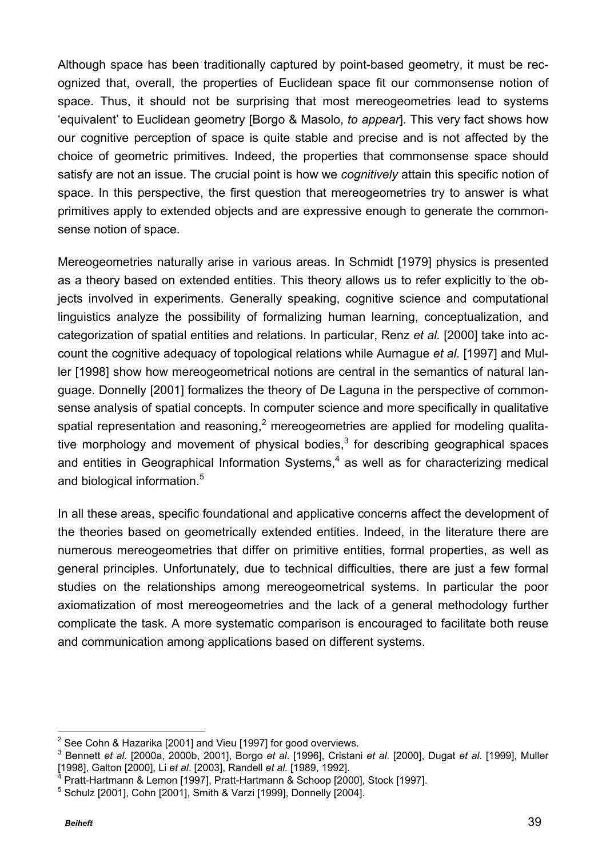Although space has been traditionally captured by point-based geometry, it must be recognized that, overall, the properties of Euclidean space fit our commonsense notion of space. Thus, it should not be surprising that most mereogeometries lead to systems 'equivalent' to Euclidean geometry [Borgo & Masolo, *to appear*]. This very fact shows how our cognitive perception of space is quite stable and precise and is not affected by the choice of geometric primitives. Indeed, the properties that commonsense space should satisfy are not an issue. The crucial point is how we *cognitively* attain this specific notion of space. In this perspective, the first question that mereogeometries try to answer is what primitives apply to extended objects and are expressive enough to generate the commonsense notion of space.

Mereogeometries naturally arise in various areas. In Schmidt [1979] physics is presented as a theory based on extended entities. This theory allows us to refer explicitly to the objects involved in experiments. Generally speaking, cognitive science and computational linguistics analyze the possibility of formalizing human learning, conceptualization, and categorization of spatial entities and relations. In particular, Renz *et al.* [2000] take into account the cognitive adequacy of topological relations while Aurnague *et al.* [1997] and Muller [1998] show how mereogeometrical notions are central in the semantics of natural language. Donnelly [2001] formalizes the theory of De Laguna in the perspective of commonsense analysis of spatial concepts. In computer science and more specifically in qualitative spatial representation and reasoning,<sup>2</sup> mereogeometries are applied for modeling qualitative morphology and movement of physical bodies, $3$  for describing geographical spaces and entities in Geographical Information Systems, $4$  as well as for characterizing medical and biological information.<sup>5</sup>

In all these areas, specific foundational and applicative concerns affect the development of the theories based on geometrically extended entities. Indeed, in the literature there are numerous mereogeometries that differ on primitive entities, formal properties, as well as general principles. Unfortunately, due to technical difficulties, there are just a few formal studies on the relationships among mereogeometrical systems. In particular the poor axiomatization of most mereogeometries and the lack of a general methodology further complicate the task. A more systematic comparison is encouraged to facilitate both reuse and communication among applications based on different systems.

 $\overline{a}$  $2$  See Cohn & Hazarika [2001] and Vieu [1997] for good overviews.

<sup>3</sup> Bennett *et al.* [2000a, 2000b, 2001], Borgo *et al*. [1996], Cristani *et al*. [2000], Dugat *et al*. [1999], Muller [1998], Galton [2000], Li *et al*. [2003], Randell *et al.* [1989, 1992].

<sup>4</sup> Pratt-Hartmann & Lemon [1997], Pratt-Hartmann & Schoop [2000], Stock [1997].

<sup>5</sup> Schulz [2001], Cohn [2001], Smith & Varzi [1999], Donnelly [2004].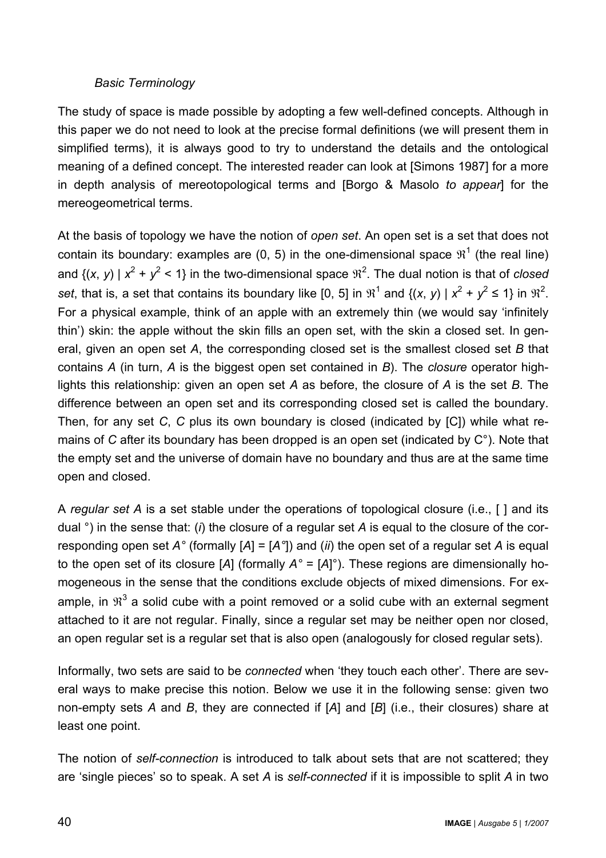## *Basic Terminology*

The study of space is made possible by adopting a few well-defined concepts. Although in this paper we do not need to look at the precise formal definitions (we will present them in simplified terms), it is always good to try to understand the details and the ontological meaning of a defined concept. The interested reader can look at [Simons 1987] for a more in depth analysis of mereotopological terms and [Borgo & Masolo *to appear*] for the mereogeometrical terms.

At the basis of topology we have the notion of *open set*. An open set is a set that does not contain its boundary: examples are (0, 5) in the one-dimensional space  $\mathfrak{R}^1$  (the real line) and  $\{(x, y) \mid x^2 + y^2 < 1\}$  in the two-dimensional space  $\mathbb{R}^2$ . The dual notion is that of *closed set*, that is, a set that contains its boundary like [0, 5] in  $\mathbb{R}^1$  and  $\{(x, y) \mid x^2 + y^2 \le 1\}$  in  $\mathbb{R}^2$ . For a physical example, think of an apple with an extremely thin (we would say 'infinitely thin') skin: the apple without the skin fills an open set, with the skin a closed set. In general, given an open set *A*, the corresponding closed set is the smallest closed set *B* that contains *A* (in turn, *A* is the biggest open set contained in *B*). The *closure* operator highlights this relationship: given an open set *A* as before, the closure of *A* is the set *B*. The difference between an open set and its corresponding closed set is called the boundary. Then, for any set *C*, *C* plus its own boundary is closed (indicated by [C]) while what remains of *C* after its boundary has been dropped is an open set (indicated by C°). Note that the empty set and the universe of domain have no boundary and thus are at the same time open and closed.

A *regular set A* is a set stable under the operations of topological closure (i.e., [ ] and its dual °) in the sense that: (*i*) the closure of a regular set *A* is equal to the closure of the corresponding open set *A°* (formally [*A*] = [*A°*]) and (*ii*) the open set of a regular set *A* is equal to the open set of its closure [*A*] (formally *A°* = [*A*]°). These regions are dimensionally homogeneous in the sense that the conditions exclude objects of mixed dimensions. For example, in  $\mathfrak{R}^3$  a solid cube with a point removed or a solid cube with an external segment attached to it are not regular. Finally, since a regular set may be neither open nor closed, an open regular set is a regular set that is also open (analogously for closed regular sets).

Informally, two sets are said to be *connected* when 'they touch each other'. There are several ways to make precise this notion. Below we use it in the following sense: given two non-empty sets *A* and *B*, they are connected if [*A*] and [*B*] (i.e., their closures) share at least one point.

The notion of *self-connection* is introduced to talk about sets that are not scattered; they are 'single pieces' so to speak. A set *A* is *self-connected* if it is impossible to split *A* in two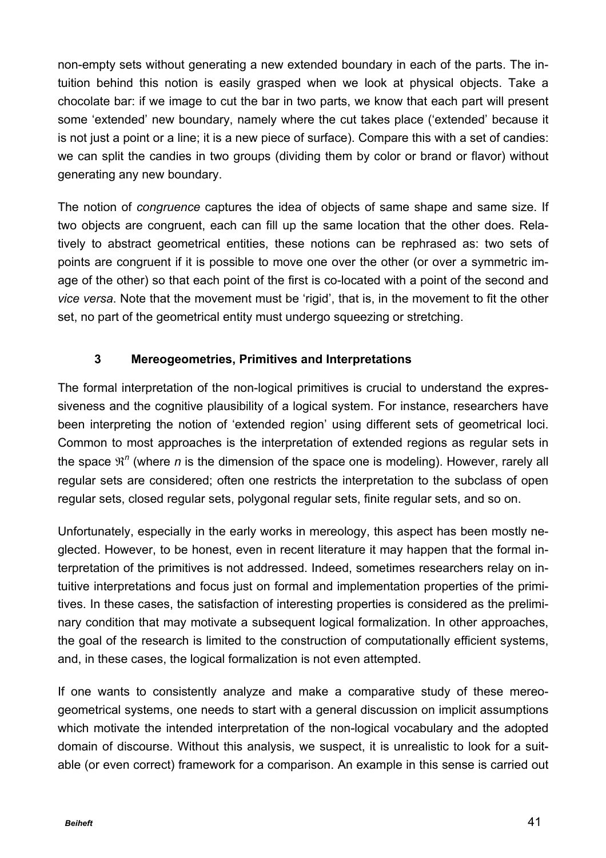non-empty sets without generating a new extended boundary in each of the parts. The intuition behind this notion is easily grasped when we look at physical objects. Take a chocolate bar: if we image to cut the bar in two parts, we know that each part will present some 'extended' new boundary, namely where the cut takes place ('extended' because it is not just a point or a line; it is a new piece of surface). Compare this with a set of candies: we can split the candies in two groups (dividing them by color or brand or flavor) without generating any new boundary.

The notion of *congruence* captures the idea of objects of same shape and same size. If two objects are congruent, each can fill up the same location that the other does. Relatively to abstract geometrical entities, these notions can be rephrased as: two sets of points are congruent if it is possible to move one over the other (or over a symmetric image of the other) so that each point of the first is co-located with a point of the second and *vice versa*. Note that the movement must be 'rigid', that is, in the movement to fit the other set, no part of the geometrical entity must undergo squeezing or stretching.

## **3 Mereogeometries, Primitives and Interpretations**

The formal interpretation of the non-logical primitives is crucial to understand the expressiveness and the cognitive plausibility of a logical system. For instance, researchers have been interpreting the notion of 'extended region' using different sets of geometrical loci. Common to most approaches is the interpretation of extended regions as regular sets in the space  $\mathfrak{R}^n$  (where *n* is the dimension of the space one is modeling). However, rarely all regular sets are considered; often one restricts the interpretation to the subclass of open regular sets, closed regular sets, polygonal regular sets, finite regular sets, and so on.

Unfortunately, especially in the early works in mereology, this aspect has been mostly neglected. However, to be honest, even in recent literature it may happen that the formal interpretation of the primitives is not addressed. Indeed, sometimes researchers relay on intuitive interpretations and focus just on formal and implementation properties of the primitives. In these cases, the satisfaction of interesting properties is considered as the preliminary condition that may motivate a subsequent logical formalization. In other approaches, the goal of the research is limited to the construction of computationally efficient systems, and, in these cases, the logical formalization is not even attempted.

If one wants to consistently analyze and make a comparative study of these mereogeometrical systems, one needs to start with a general discussion on implicit assumptions which motivate the intended interpretation of the non-logical vocabulary and the adopted domain of discourse. Without this analysis, we suspect, it is unrealistic to look for a suitable (or even correct) framework for a comparison. An example in this sense is carried out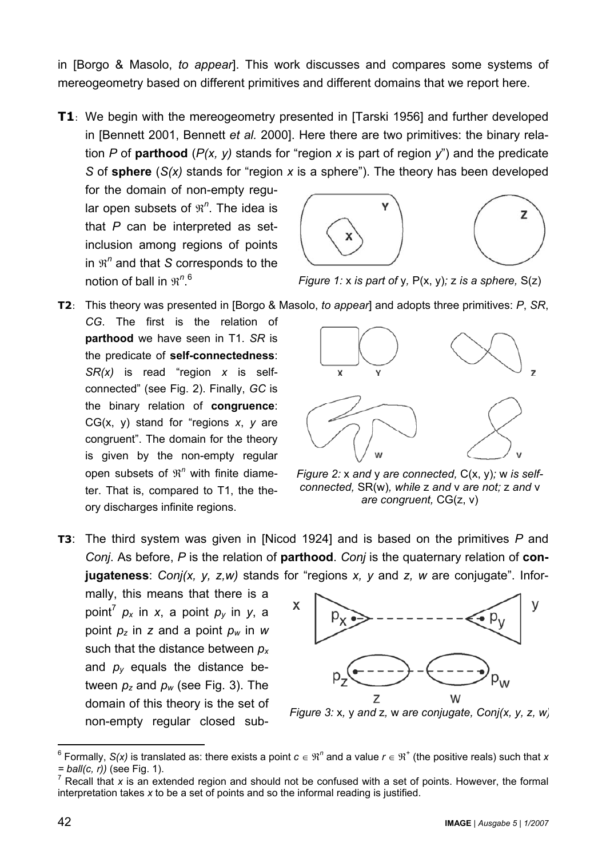in [Borgo & Masolo, *to appear*]. This work discusses and compares some systems of mereogeometry based on different primitives and different domains that we report here.

**T1**: We begin with the mereogeometry presented in [Tarski 1956] and further developed in [Bennett 2001, Bennett *et al.* 2000]. Here there are two primitives: the binary relation *P* of **parthood** (*P(x, y)* stands for "region *x* is part of region *y*") and the predicate *S* of **sphere** (*S(x)* stands for "region *x* is a sphere"). The theory has been developed

for the domain of non-empty regular open subsets of  $\mathfrak{R}^n$ . The idea is that *P* can be interpreted as setinclusion among regions of points in  $\mathfrak{R}^n$  and that *S* corresponds to the notion of ball in  $\mathfrak{R}^{n,6}$ 



*Figure 1:* x *is part of* y*,* P(x, y)*;* z *is a sphere,* S(z)

- **T2**: This theory was presented in [Borgo & Masolo, *to appear*] and adopts three primitives: *P*, *SR*,
- *CG*. The first is the relation of **parthood** we have seen in T1. *SR* is the predicate of **self-connectedness**: *SR(x)* is read "region *x* is selfconnected" (see Fig. 2). Finally, *GC* is the binary relation of **congruence**: CG(x, y) stand for "regions *x*, *y* are congruent". The domain for the theory is given by the non-empty regular open subsets of  $\mathfrak{R}^n$  with finite diameter. That is, compared to T1, the theory discharges infinite regions.



*Figure 2:* x *and* y *are connected,* C(x, y)*;* w *is selfconnected,* SR(w)*, while* z *and* v *are not;* z *and* v *are congruent,* CG(z, v)

**T3**: The third system was given in [Nicod 1924] and is based on the primitives *P* and *Conj*. As before, *P* is the relation of **parthood**. *Conj* is the quaternary relation of **conjugateness**: *Conj(x, y, z,w)* stands for "regions *x, y* and *z, w* are conjugate". Infor-

mally, this means that there is a point<sup>7</sup> *px* in *x*, a point *py* in *y*, a point *pz* in *z* and a point *pw* in *w* such that the distance between *p<sup>x</sup>* and  $p_y$  equals the distance between  $p_z$  and  $p_w$  (see Fig. 3). The domain of this theory is the set of non-empty regular closed sub-



*Figure 3:* x*,* y *and* z*,* w *are conjugate, Conj(x, y, z, w)*

 $\overline{a}$ 

 $^6$  Formally, S(x) is translated as: there exists a point  $c \in \Re^n$  and a value  $r \in \Re^+$  (the positive reals) such that x *= ball(c, r))* (see Fig. 1).

<sup>7</sup> Recall that *x* is an extended region and should not be confused with a set of points. However, the formal interpretation takes *x* to be a set of points and so the informal reading is justified.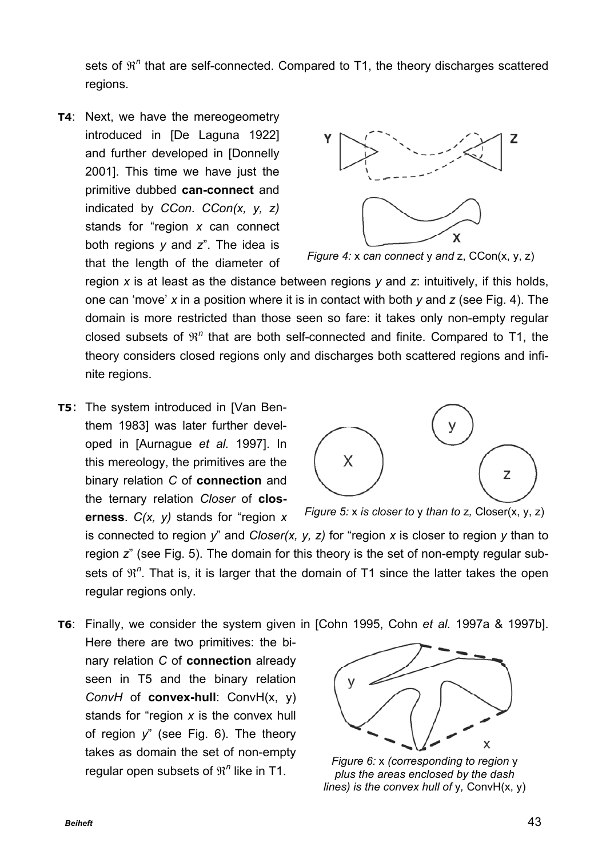sets of  $\mathfrak{R}^n$  that are self-connected. Compared to T1, the theory discharges scattered regions.

**T4**: Next, we have the mereogeometry introduced in [De Laguna 1922] and further developed in [Donnelly 2001]. This time we have just the primitive dubbed **can-connect** and indicated by *CCon*. *CCon(x, y, z)* stands for "region *x* can connect both regions *y* and *z*". The idea is that the length of the diameter of



*Figure 4:* x *can connect* y *and* z, CCon(x, y, z)

region *x* is at least as the distance between regions *y* and *z*: intuitively, if this holds, one can 'move' *x* in a position where it is in contact with both *y* and *z* (see Fig. 4). The domain is more restricted than those seen so fare: it takes only non-empty regular closed subsets of  $\mathfrak{R}^n$  that are both self-connected and finite. Compared to T1, the theory considers closed regions only and discharges both scattered regions and infinite regions.

**T5**: The system introduced in [Van Benthem 1983] was later further developed in [Aurnague *et al.* 1997]. In this mereology, the primitives are the binary relation *C* of **connection** and the ternary relation *Closer* of **closerness**. *C(x, y)* stands for "region *x*



*Figure 5:* x *is closer to* y *than to* z*,* Closer(x, y, z)

is connected to region *y*" and *Closer(x, y, z)* for "region *x* is closer to region *y* than to region *z*" (see Fig. 5). The domain for this theory is the set of non-empty regular subsets of  $\mathfrak{R}^n$ . That is, it is larger that the domain of T1 since the latter takes the open regular regions only.

**T6**: Finally, we consider the system given in [Cohn 1995, Cohn *et al.* 1997a & 1997b].

Here there are two primitives: the binary relation *C* of **connection** already seen in T5 and the binary relation *ConvH* of **convex-hull**: ConvH(x, y) stands for "region *x* is the convex hull of region *y*" (see Fig. 6). The theory takes as domain the set of non-empty regular open subsets of  $\mathfrak{R}^n$  like in T1.



*Figure 6:* x *(corresponding to region* y *plus the areas enclosed by the dash lines) is the convex hull of* y*,* ConvH(x, y)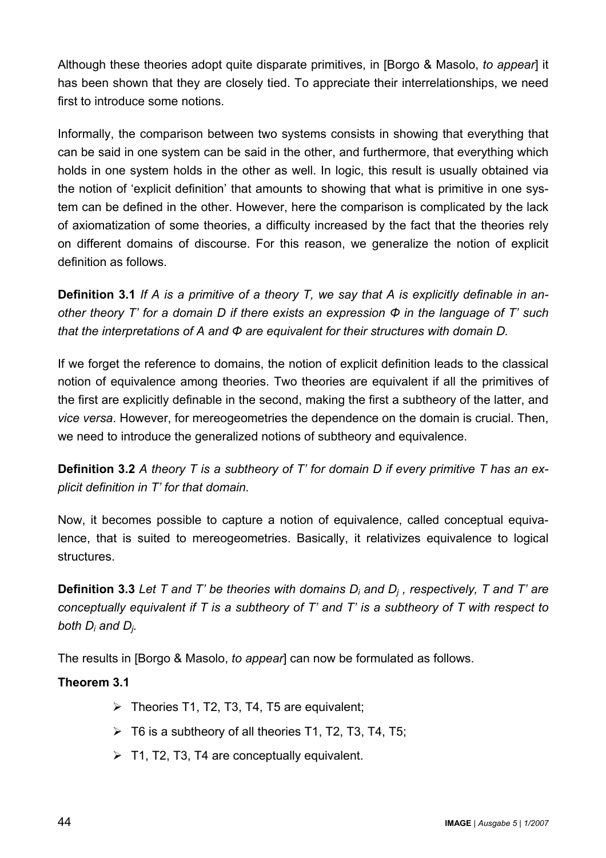Although these theories adopt quite disparate primitives, in [Borgo & Masolo, *to appear*] it has been shown that they are closely tied. To appreciate their interrelationships, we need first to introduce some notions.

Informally, the comparison between two systems consists in showing that everything that can be said in one system can be said in the other, and furthermore, that everything which holds in one system holds in the other as well. In logic, this result is usually obtained via the notion of 'explicit definition' that amounts to showing that what is primitive in one system can be defined in the other. However, here the comparison is complicated by the lack of axiomatization of some theories, a difficulty increased by the fact that the theories rely on different domains of discourse. For this reason, we generalize the notion of explicit definition as follows.

**Definition 3.1** *If A is a primitive of a theory T, we say that A is explicitly definable in another theory T' for a domain D if there exists an expression Φ in the language of T' such that the interpretations of A and Φ are equivalent for their structures with domain D.* 

If we forget the reference to domains, the notion of explicit definition leads to the classical notion of equivalence among theories. Two theories are equivalent if all the primitives of the first are explicitly definable in the second, making the first a subtheory of the latter, and *vice versa*. However, for mereogeometries the dependence on the domain is crucial. Then, we need to introduce the generalized notions of subtheory and equivalence.

**Definition 3.2** *A theory T is a subtheory of T' for domain D if every primitive T has an explicit definition in T' for that domain.*

Now, it becomes possible to capture a notion of equivalence, called conceptual equivalence, that is suited to mereogeometries. Basically, it relativizes equivalence to logical structures.

**Definition 3.3** *Let T and T' be theories with domains Di and Dj , respectively, T and T' are conceptually equivalent if T is a subtheory of T' and T' is a subtheory of T with respect to both Di and Dj.*

The results in [Borgo & Masolo, *to appear*] can now be formulated as follows.

#### **Theorem 3.1**

- $\triangleright$  Theories T1, T2, T3, T4, T5 are equivalent;
- $\triangleright$  T6 is a subtheory of all theories T1, T2, T3, T4, T5;
- $\triangleright$  T1, T2, T3, T4 are conceptually equivalent.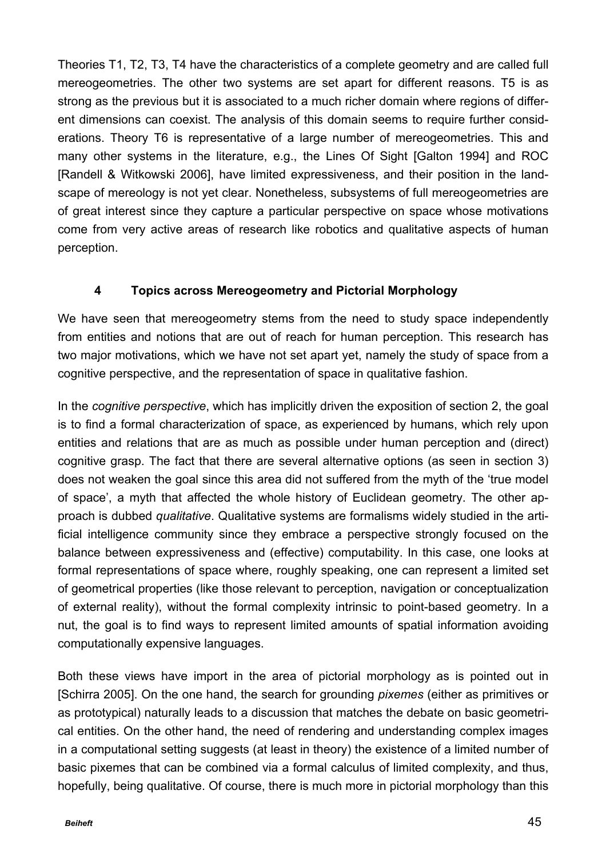Theories T1, T2, T3, T4 have the characteristics of a complete geometry and are called full mereogeometries. The other two systems are set apart for different reasons. T5 is as strong as the previous but it is associated to a much richer domain where regions of different dimensions can coexist. The analysis of this domain seems to require further considerations. Theory T6 is representative of a large number of mereogeometries. This and many other systems in the literature, e.g., the Lines Of Sight [Galton 1994] and ROC [Randell & Witkowski 2006], have limited expressiveness, and their position in the landscape of mereology is not yet clear. Nonetheless, subsystems of full mereogeometries are of great interest since they capture a particular perspective on space whose motivations come from very active areas of research like robotics and qualitative aspects of human perception.

## **4 Topics across Mereogeometry and Pictorial Morphology**

We have seen that mereogeometry stems from the need to study space independently from entities and notions that are out of reach for human perception. This research has two major motivations, which we have not set apart yet, namely the study of space from a cognitive perspective, and the representation of space in qualitative fashion.

In the *cognitive perspective*, which has implicitly driven the exposition of section 2, the goal is to find a formal characterization of space, as experienced by humans, which rely upon entities and relations that are as much as possible under human perception and (direct) cognitive grasp. The fact that there are several alternative options (as seen in section 3) does not weaken the goal since this area did not suffered from the myth of the 'true model of space', a myth that affected the whole history of Euclidean geometry. The other approach is dubbed *qualitative*. Qualitative systems are formalisms widely studied in the artificial intelligence community since they embrace a perspective strongly focused on the balance between expressiveness and (effective) computability. In this case, one looks at formal representations of space where, roughly speaking, one can represent a limited set of geometrical properties (like those relevant to perception, navigation or conceptualization of external reality), without the formal complexity intrinsic to point-based geometry. In a nut, the goal is to find ways to represent limited amounts of spatial information avoiding computationally expensive languages.

Both these views have import in the area of pictorial morphology as is pointed out in [Schirra 2005]. On the one hand, the search for grounding *pixemes* (either as primitives or as prototypical) naturally leads to a discussion that matches the debate on basic geometrical entities. On the other hand, the need of rendering and understanding complex images in a computational setting suggests (at least in theory) the existence of a limited number of basic pixemes that can be combined via a formal calculus of limited complexity, and thus, hopefully, being qualitative. Of course, there is much more in pictorial morphology than this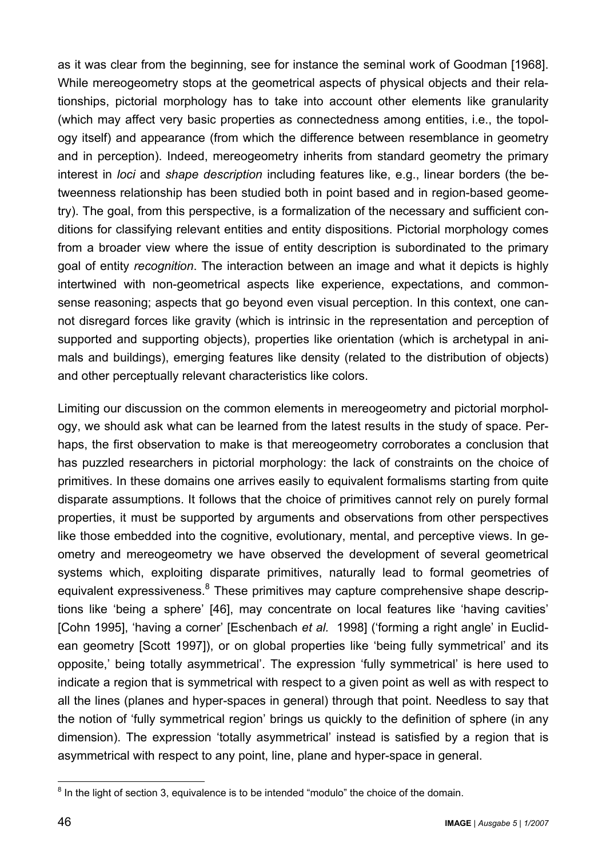as it was clear from the beginning, see for instance the seminal work of Goodman [1968]. While mereogeometry stops at the geometrical aspects of physical objects and their relationships, pictorial morphology has to take into account other elements like granularity (which may affect very basic properties as connectedness among entities, i.e., the topology itself) and appearance (from which the difference between resemblance in geometry and in perception). Indeed, mereogeometry inherits from standard geometry the primary interest in *loci* and *shape description* including features like, e.g., linear borders (the betweenness relationship has been studied both in point based and in region-based geometry). The goal, from this perspective, is a formalization of the necessary and sufficient conditions for classifying relevant entities and entity dispositions. Pictorial morphology comes from a broader view where the issue of entity description is subordinated to the primary goal of entity *recognition*. The interaction between an image and what it depicts is highly intertwined with non-geometrical aspects like experience, expectations, and commonsense reasoning; aspects that go beyond even visual perception. In this context, one cannot disregard forces like gravity (which is intrinsic in the representation and perception of supported and supporting objects), properties like orientation (which is archetypal in animals and buildings), emerging features like density (related to the distribution of objects) and other perceptually relevant characteristics like colors.

Limiting our discussion on the common elements in mereogeometry and pictorial morphology, we should ask what can be learned from the latest results in the study of space. Perhaps, the first observation to make is that mereogeometry corroborates a conclusion that has puzzled researchers in pictorial morphology: the lack of constraints on the choice of primitives. In these domains one arrives easily to equivalent formalisms starting from quite disparate assumptions. It follows that the choice of primitives cannot rely on purely formal properties, it must be supported by arguments and observations from other perspectives like those embedded into the cognitive, evolutionary, mental, and perceptive views. In geometry and mereogeometry we have observed the development of several geometrical systems which, exploiting disparate primitives, naturally lead to formal geometries of equivalent expressiveness.<sup>8</sup> These primitives may capture comprehensive shape descriptions like 'being a sphere' [46], may concentrate on local features like 'having cavities' [Cohn 1995], 'having a corner' [Eschenbach *et al.* 1998] ('forming a right angle' in Euclidean geometry [Scott 1997]), or on global properties like 'being fully symmetrical' and its opposite,' being totally asymmetrical'. The expression 'fully symmetrical' is here used to indicate a region that is symmetrical with respect to a given point as well as with respect to all the lines (planes and hyper-spaces in general) through that point. Needless to say that the notion of 'fully symmetrical region' brings us quickly to the definition of sphere (in any dimension). The expression 'totally asymmetrical' instead is satisfied by a region that is asymmetrical with respect to any point, line, plane and hyper-space in general.

<sup>&</sup>lt;sup>8</sup> In the light of section 3, equivalence is to be intended "modulo" the choice of the domain.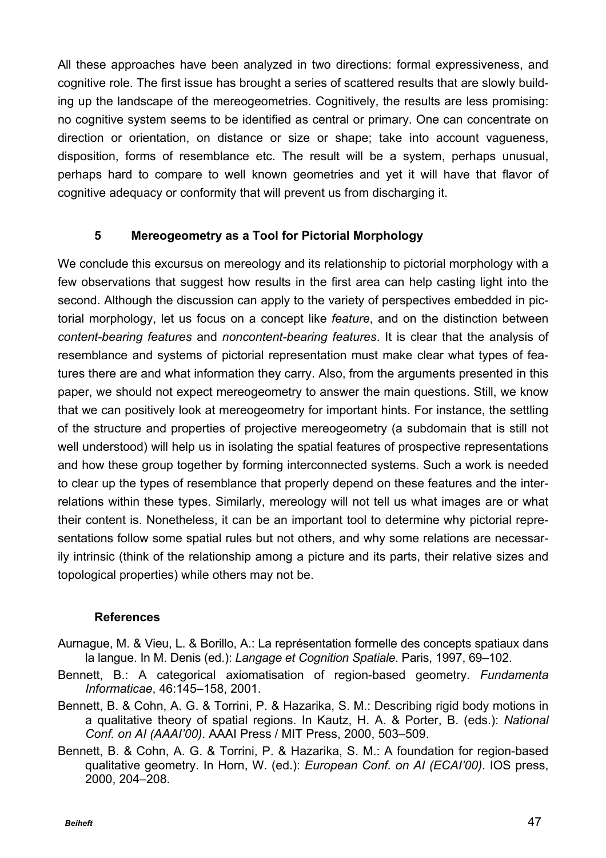All these approaches have been analyzed in two directions: formal expressiveness, and cognitive role. The first issue has brought a series of scattered results that are slowly building up the landscape of the mereogeometries. Cognitively, the results are less promising: no cognitive system seems to be identified as central or primary. One can concentrate on direction or orientation, on distance or size or shape; take into account vagueness, disposition, forms of resemblance etc. The result will be a system, perhaps unusual, perhaps hard to compare to well known geometries and yet it will have that flavor of cognitive adequacy or conformity that will prevent us from discharging it.

#### **5 Mereogeometry as a Tool for Pictorial Morphology**

We conclude this excursus on mereology and its relationship to pictorial morphology with a few observations that suggest how results in the first area can help casting light into the second. Although the discussion can apply to the variety of perspectives embedded in pictorial morphology, let us focus on a concept like *feature*, and on the distinction between *content-bearing features* and *noncontent-bearing features*. It is clear that the analysis of resemblance and systems of pictorial representation must make clear what types of features there are and what information they carry. Also, from the arguments presented in this paper, we should not expect mereogeometry to answer the main questions. Still, we know that we can positively look at mereogeometry for important hints. For instance, the settling of the structure and properties of projective mereogeometry (a subdomain that is still not well understood) will help us in isolating the spatial features of prospective representations and how these group together by forming interconnected systems. Such a work is needed to clear up the types of resemblance that properly depend on these features and the interrelations within these types. Similarly, mereology will not tell us what images are or what their content is. Nonetheless, it can be an important tool to determine why pictorial representations follow some spatial rules but not others, and why some relations are necessarily intrinsic (think of the relationship among a picture and its parts, their relative sizes and topological properties) while others may not be.

#### **References**

- Aurnague, M. & Vieu, L. & Borillo, A.: La représentation formelle des concepts spatiaux dans la langue. In M. Denis (ed.): *Langage et Cognition Spatiale*. Paris, 1997, 69–102.
- Bennett, B.: A categorical axiomatisation of region-based geometry. *Fundamenta Informaticae*, 46:145–158, 2001.
- Bennett, B. & Cohn, A. G. & Torrini, P. & Hazarika, S. M.: Describing rigid body motions in a qualitative theory of spatial regions. In Kautz, H. A. & Porter, B. (eds.): *National Conf. on AI (AAAI'00)*. AAAI Press / MIT Press, 2000, 503–509.
- Bennett, B. & Cohn, A. G. & Torrini, P. & Hazarika, S. M.: A foundation for region-based qualitative geometry. In Horn, W. (ed.): *European Conf. on AI (ECAI'00)*. IOS press, 2000, 204–208.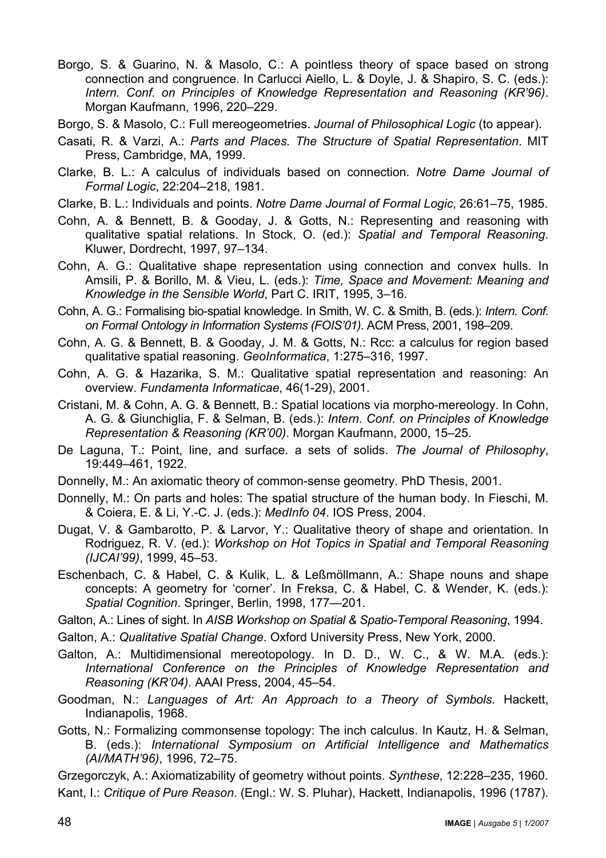Borgo, S. & Guarino, N. & Masolo, C.: A pointless theory of space based on strong connection and congruence. In Carlucci Aiello, L. & Doyle, J. & Shapiro, S. C. (eds.): *Intern. Conf. on Principles of Knowledge Representation and Reasoning (KR'96)*. Morgan Kaufmann, 1996, 220–229.

Borgo, S. & Masolo, C.: Full mereogeometries. *Journal of Philosophical Logic* (to appear).

- Casati, R. & Varzi, A.: *Parts and Places. The Structure of Spatial Representation*. MIT Press, Cambridge, MA, 1999.
- Clarke, B. L.: A calculus of individuals based on connection. *Notre Dame Journal of Formal Logic*, 22:204–218, 1981.
- Clarke, B. L.: Individuals and points. *Notre Dame Journal of Formal Logic*, 26:61–75, 1985.
- Cohn, A. & Bennett, B. & Gooday, J. & Gotts, N.: Representing and reasoning with qualitative spatial relations. In Stock, O. (ed.): *Spatial and Temporal Reasoning*. Kluwer, Dordrecht, 1997, 97–134.
- Cohn, A. G.: Qualitative shape representation using connection and convex hulls. In Amsili, P. & Borillo, M. & Vieu, L. (eds.): *Time, Space and Movement: Meaning and Knowledge in the Sensible World*, Part C. IRIT, 1995, 3–16.
- Cohn, A. G.: Formalising bio-spatial knowledge. In Smith, W. C. & Smith, B. (eds.): *Intern. Conf. on Formal Ontology in Information Systems (FOIS'01)*. ACM Press, 2001, 198–209.
- Cohn, A. G. & Bennett, B. & Gooday, J. M. & Gotts, N.: Rcc: a calculus for region based qualitative spatial reasoning. *GeoInformatica*, 1:275–316, 1997.
- Cohn, A. G. & Hazarika, S. M.: Qualitative spatial representation and reasoning: An overview. *Fundamenta Informaticae*, 46(1-29), 2001.
- Cristani, M. & Cohn, A. G. & Bennett, B.: Spatial locations via morpho-mereology. In Cohn, A. G. & Giunchiglia, F. & Selman, B. (eds.): *Intern. Conf. on Principles of Knowledge Representation & Reasoning (KR'00)*. Morgan Kaufmann, 2000, 15–25.
- De Laguna, T.: Point, line, and surface. a sets of solids. *The Journal of Philosophy*, 19:449–461, 1922.
- Donnelly, M.: An axiomatic theory of common-sense geometry. PhD Thesis, 2001.
- Donnelly, M.: On parts and holes: The spatial structure of the human body. In Fieschi, M. & Coiera, E. & Li, Y.-C. J. (eds.): *MedInfo 04*. IOS Press, 2004.
- Dugat, V. & Gambarotto, P. & Larvor, Y.: Qualitative theory of shape and orientation. In Rodriguez, R. V. (ed.): *Workshop on Hot Topics in Spatial and Temporal Reasoning (IJCAI'99)*, 1999, 45–53.
- Eschenbach, C. & Habel, C. & Kulik, L. & Leßmöllmann, A.: Shape nouns and shape concepts: A geometry for 'corner'. In Freksa, C. & Habel, C. & Wender, K. (eds.): *Spatial Cognition*. Springer, Berlin, 1998, 177—201.
- Galton, A.: Lines of sight. In *AISB Workshop on Spatial & Spatio-Temporal Reasoning*, 1994.
- Galton, A.: *Qualitative Spatial Change*. Oxford University Press, New York, 2000.
- Galton, A.: Multidimensional mereotopology. In D. D., W. C., & W. M.A. (eds.): *International Conference on the Principles of Knowledge Representation and Reasoning (KR'04)*. AAAI Press, 2004, 45–54.
- Goodman, N.: *Languages of Art: An Approach to a Theory of Symbols*. Hackett, Indianapolis, 1968.
- Gotts, N.: Formalizing commonsense topology: The inch calculus. In Kautz, H. & Selman, B. (eds.): *International Symposium on Artificial Intelligence and Mathematics (AI/MATH'96)*, 1996, 72–75.

Grzegorczyk, A.: Axiomatizability of geometry without points. *Synthese*, 12:228–235, 1960. Kant, I.: *Critique of Pure Reason*. (Engl.: W. S. Pluhar), Hackett, Indianapolis, 1996 (1787).